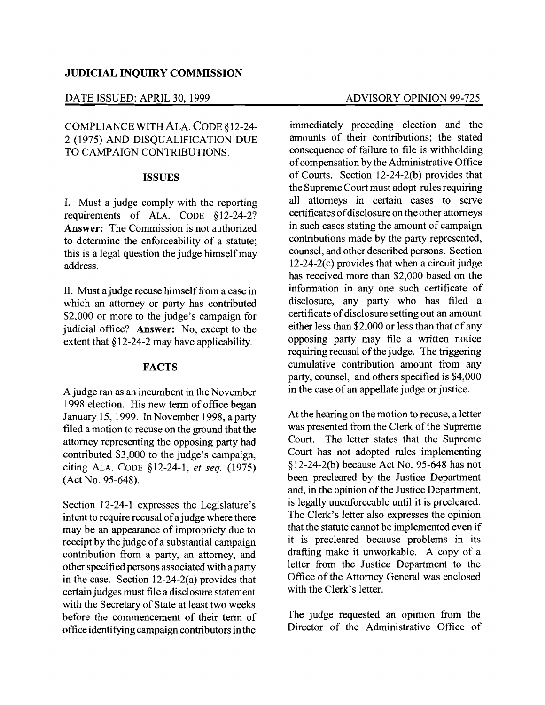#### DATE ISSUED: APRIL 30, 1999 ADVISORY OPINION 99-725

# COMPLIANCE WITH ALA. CODE §12-24 2 (1975) AND DISQUALIFICATION DUE TO CAMPAIGN CONTRIBUTIONS.

### **ISSUES**

I. Must a judge comply with the reporting requirements of ALA. CODE §12-24-2? Answer: The Commission is not authorized to determine the enforceability of a statute; this is a legal question the judge himself may address.

II. Must a judge recuse himself from a case in which an attorney or party has contributed \$2,000 or more to the judge's campaign for judicial office? Answer: No, except to the extent that §12-24-2 may have applicability.

### **FACTS**

A judge ran as an incumbent in the November 1998 election. His new term of office began January 15, 1999. In November 1998, a party filed a motion to recuse on the ground that the attorney representing the opposing party had contributed \$3,000 to the judge's campaign, citing ALA. CODE §12-24-1, *et seq.* (1975) (Act No. 95-648).

Section 12-24-1 expresses the Legislature's intent to require recusal of a judge where there may be an appearance of impropriety due to receipt by the judge of a substantial campaign contribution from a party, an attorney, and other specified persons associated with a party in the case. Section 12-24-2(a) provides that certain judges must file a disclosure statement with the Secretary of State at least two weeks before the commencement of their term of office identifying campaign contributors in the

immediately preceding election and the amounts of their contributions; the stated consequence of failure to file is withholding of compensation by the Administrative Office of Courts. Section 12-24-2(b) provides that the Supreme Court must adopt rules requiring all attorneys in certain cases to serve certificates ofdisclosure on the other attorneys in such cases stating the amount of campaign contributions made by the party represented, counsel, and other described persons. Section 12-24-2(c) provides that when a circuit judge has received more than \$2,000 based on the information in any one such certificate of disclosure, any party who has filed a certificate of disclosure setting out an amount either less than \$2,000 or less than that of any opposing party may file a written notice requiring recusal of the judge. The triggering cumulative contribution amount from any party, counsel, and others specified is \$4,000 in the case of an appellate judge or justice.

At the hearing on the motion to recuse, a letter was presented from the Clerk of the Supreme Court. The letter states that the Supreme Court has not adopted rules implementing §12-24-2(b) because Act No. 95-648 has not been precleared by the Justice Department and, in the opinion of the Justice Department, is legally unenforceable until it is precleared. The Clerk's letter also expresses the opinion that the statute cannot be implemented even if it is precleared because problems in its drafting make it unworkable. A copy of a letter from the Justice Department to the Office of the Attorney General was enclosed with the Clerk's letter.

The judge requested an opinion from the Director of the Administrative Office of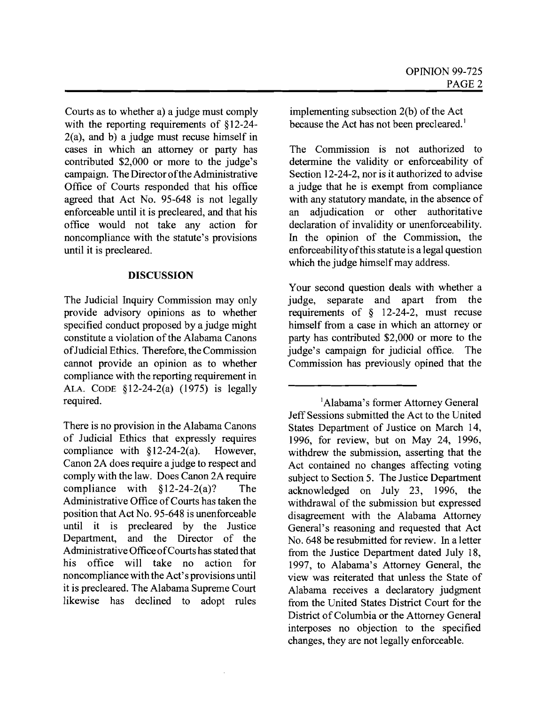Courts as to whether a) a judge must comply with the reporting requirements of §12-24- $2(a)$ , and b) a judge must recuse himself in cases in which an attorney or party has contributed \$2,000 or more to the judge's campaign. The Directorofthe Administrative Office of Courts responded that his office agreed that Act No. 95-648 is not legally enforceable until it is precleared, and that his office would not take any action for noncompliance with the statute's provisions until it is precleared.

## **DISCUSSION**

The Judicial Inquiry Commission may only provide advisory opinions as to whether specified conduct proposed by a judge might constitute a violation of the Alabama Canons ofJudicial Ethics. Therefore, the Commission cannot provide an opinion as to whether compliance with the reporting requirement in ALA. CODE §12-24-2(a) (1975) is legally required.

There is no provision in the Alabama Canons of Judicial Ethics that expressly requires<br>compliance with  $\S 12-24-2(a)$ . However, compliance with  $§12-24-2(a)$ . Canon 2A does require a judge to respect and comply with the law. Does Canon 2A require compliance with  $$12-24-2(a)?$  The Administrative Office of Courts has taken the position that Act No. 95-648 is unenforceable until it is precleared by the Justice Department, and the Director of the Administrative Office ofCourts has stated that his office will take no action for noncompliance with the Act's provisions until it is precleared. The Alabama Supreme Court likewise has declined to adopt rules implementing subsection  $2(b)$  of the Act because the Act has not been precleared.<sup>1</sup>

The Commission is not authorized to determine the validity or enforceability of Section 12-24-2, nor is it authorized to advise a judge that he is exempt from compliance with any statutory mandate, in the absence of an adjudication or other authoritative declaration of invalidity or unenforceability. In the opinion of the Commission, the enforceabilityofthis statute is a legal question which the judge himself may address.

Your second question deals with whether a judge, separate and apart from the requirements of § 12-24-2, must recuse himself from a case in which an attorney or party has contributed \$2,000 or more to the judge's campaign for judicial office. The Commission has previously opined that the

lAlabama's former Attorney General Jeff Sessions submitted the Act to the United States Department of Justice on March 14, 1996, for review, but on May 24, 1996, withdrew the submission, asserting that the Act contained no changes affecting voting subject to Section 5. The Justice Department acknowledged on July 23, 1996, the withdrawal of the submission but expressed disagreement with the Alabama Attorney General's reasoning and requested that Act No. 648 be resubmitted for review. In a letter from the Justice Department dated July 18, 1997, to Alabama's Attorney General, the view was reiterated that unless the State of Alabama receives a declaratory judgment from the United States District Court for the District of Columbia or the Attorney General interposes no objection to the specified changes, they are not legally enforceable.